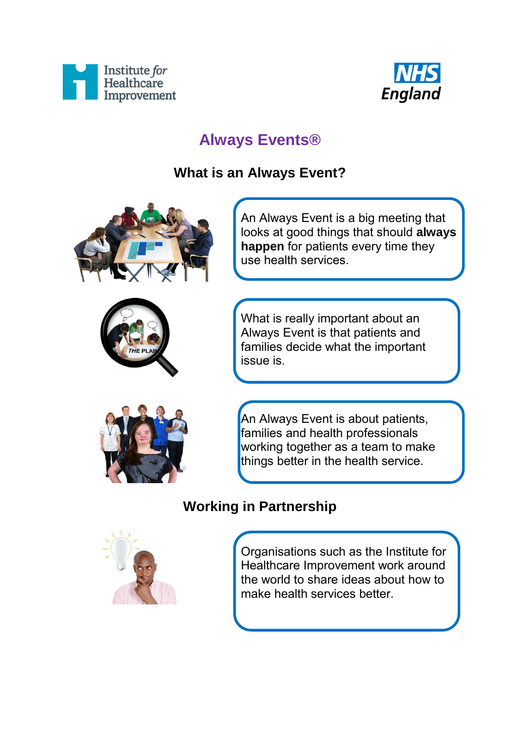



# **Always Events®**

### **What is an Always Event?**





An Always Event is a big meeting that looks at good things that should **always happen** for patients every time they use health services.

What is really important about an Always Event is that patients and families decide what the important issue is.



An Always Event is about patients, families and health professionals working together as a team to make things better in the health service.

### **Working in Partnership**



Organisations such as the Institute for Healthcare Improvement work around the world to share ideas about how to make health services better.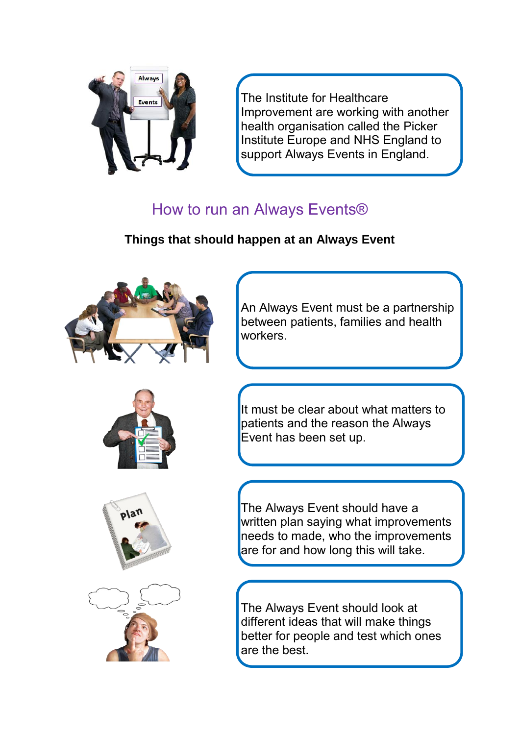

The Institute for Healthcare Improvement are working with another health organisation called the Picker Institute Europe and NHS England to support Always Events in England.

# How to run an Always Events®

#### **Things that should happen at an Always Event**





An Always Event must be a partnership between patients, families and health workers.

It must be clear about what matters to patients and the reason the Always Event has been set up.





The Always Event should have a written plan saying what improvements needs to made, who the improvements are for and how long this will take.

The Always Event should look at different ideas that will make things better for people and test which ones are the best.